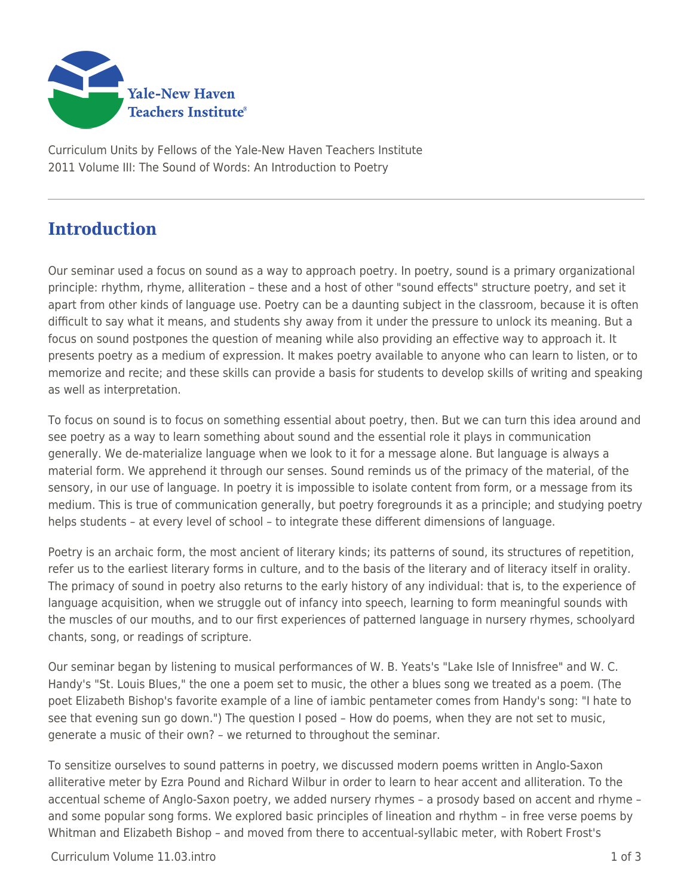

Curriculum Units by Fellows of the Yale-New Haven Teachers Institute 2011 Volume III: The Sound of Words: An Introduction to Poetry

## **Introduction**

Our seminar used a focus on sound as a way to approach poetry. In poetry, sound is a primary organizational principle: rhythm, rhyme, alliteration – these and a host of other "sound effects" structure poetry, and set it apart from other kinds of language use. Poetry can be a daunting subject in the classroom, because it is often difficult to say what it means, and students shy away from it under the pressure to unlock its meaning. But a focus on sound postpones the question of meaning while also providing an effective way to approach it. It presents poetry as a medium of expression. It makes poetry available to anyone who can learn to listen, or to memorize and recite; and these skills can provide a basis for students to develop skills of writing and speaking as well as interpretation.

To focus on sound is to focus on something essential about poetry, then. But we can turn this idea around and see poetry as a way to learn something about sound and the essential role it plays in communication generally. We de-materialize language when we look to it for a message alone. But language is always a material form. We apprehend it through our senses. Sound reminds us of the primacy of the material, of the sensory, in our use of language. In poetry it is impossible to isolate content from form, or a message from its medium. This is true of communication generally, but poetry foregrounds it as a principle; and studying poetry helps students – at every level of school – to integrate these different dimensions of language.

Poetry is an archaic form, the most ancient of literary kinds; its patterns of sound, its structures of repetition, refer us to the earliest literary forms in culture, and to the basis of the literary and of literacy itself in orality. The primacy of sound in poetry also returns to the early history of any individual: that is, to the experience of language acquisition, when we struggle out of infancy into speech, learning to form meaningful sounds with the muscles of our mouths, and to our first experiences of patterned language in nursery rhymes, schoolyard chants, song, or readings of scripture.

Our seminar began by listening to musical performances of W. B. Yeats's "Lake Isle of Innisfree" and W. C. Handy's "St. Louis Blues," the one a poem set to music, the other a blues song we treated as a poem. (The poet Elizabeth Bishop's favorite example of a line of iambic pentameter comes from Handy's song: "I hate to see that evening sun go down.") The question I posed – How do poems, when they are not set to music, generate a music of their own? – we returned to throughout the seminar.

To sensitize ourselves to sound patterns in poetry, we discussed modern poems written in Anglo-Saxon alliterative meter by Ezra Pound and Richard Wilbur in order to learn to hear accent and alliteration. To the accentual scheme of Anglo-Saxon poetry, we added nursery rhymes – a prosody based on accent and rhyme – and some popular song forms. We explored basic principles of lineation and rhythm – in free verse poems by Whitman and Elizabeth Bishop – and moved from there to accentual-syllabic meter, with Robert Frost's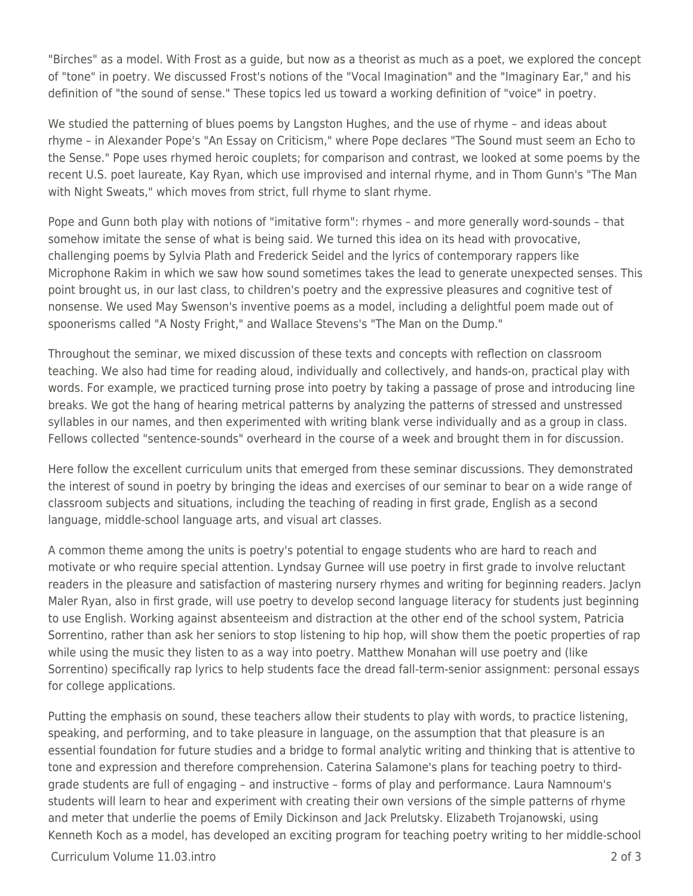"Birches" as a model. With Frost as a guide, but now as a theorist as much as a poet, we explored the concept of "tone" in poetry. We discussed Frost's notions of the "Vocal Imagination" and the "Imaginary Ear," and his definition of "the sound of sense." These topics led us toward a working definition of "voice" in poetry.

We studied the patterning of blues poems by Langston Hughes, and the use of rhyme - and ideas about rhyme – in Alexander Pope's "An Essay on Criticism," where Pope declares "The Sound must seem an Echo to the Sense." Pope uses rhymed heroic couplets; for comparison and contrast, we looked at some poems by the recent U.S. poet laureate, Kay Ryan, which use improvised and internal rhyme, and in Thom Gunn's "The Man with Night Sweats," which moves from strict, full rhyme to slant rhyme.

Pope and Gunn both play with notions of "imitative form": rhymes – and more generally word-sounds – that somehow imitate the sense of what is being said. We turned this idea on its head with provocative, challenging poems by Sylvia Plath and Frederick Seidel and the lyrics of contemporary rappers like Microphone Rakim in which we saw how sound sometimes takes the lead to generate unexpected senses. This point brought us, in our last class, to children's poetry and the expressive pleasures and cognitive test of nonsense. We used May Swenson's inventive poems as a model, including a delightful poem made out of spoonerisms called "A Nosty Fright," and Wallace Stevens's "The Man on the Dump."

Throughout the seminar, we mixed discussion of these texts and concepts with reflection on classroom teaching. We also had time for reading aloud, individually and collectively, and hands-on, practical play with words. For example, we practiced turning prose into poetry by taking a passage of prose and introducing line breaks. We got the hang of hearing metrical patterns by analyzing the patterns of stressed and unstressed syllables in our names, and then experimented with writing blank verse individually and as a group in class. Fellows collected "sentence-sounds" overheard in the course of a week and brought them in for discussion.

Here follow the excellent curriculum units that emerged from these seminar discussions. They demonstrated the interest of sound in poetry by bringing the ideas and exercises of our seminar to bear on a wide range of classroom subjects and situations, including the teaching of reading in first grade, English as a second language, middle-school language arts, and visual art classes.

A common theme among the units is poetry's potential to engage students who are hard to reach and motivate or who require special attention. Lyndsay Gurnee will use poetry in first grade to involve reluctant readers in the pleasure and satisfaction of mastering nursery rhymes and writing for beginning readers. Jaclyn Maler Ryan, also in first grade, will use poetry to develop second language literacy for students just beginning to use English. Working against absenteeism and distraction at the other end of the school system, Patricia Sorrentino, rather than ask her seniors to stop listening to hip hop, will show them the poetic properties of rap while using the music they listen to as a way into poetry. Matthew Monahan will use poetry and (like Sorrentino) specifically rap lyrics to help students face the dread fall-term-senior assignment: personal essays for college applications.

Putting the emphasis on sound, these teachers allow their students to play with words, to practice listening, speaking, and performing, and to take pleasure in language, on the assumption that that pleasure is an essential foundation for future studies and a bridge to formal analytic writing and thinking that is attentive to tone and expression and therefore comprehension. Caterina Salamone's plans for teaching poetry to thirdgrade students are full of engaging – and instructive – forms of play and performance. Laura Namnoum's students will learn to hear and experiment with creating their own versions of the simple patterns of rhyme and meter that underlie the poems of Emily Dickinson and Jack Prelutsky. Elizabeth Trojanowski, using Kenneth Koch as a model, has developed an exciting program for teaching poetry writing to her middle-school

Curriculum Volume 11.03.intro 2 of 3